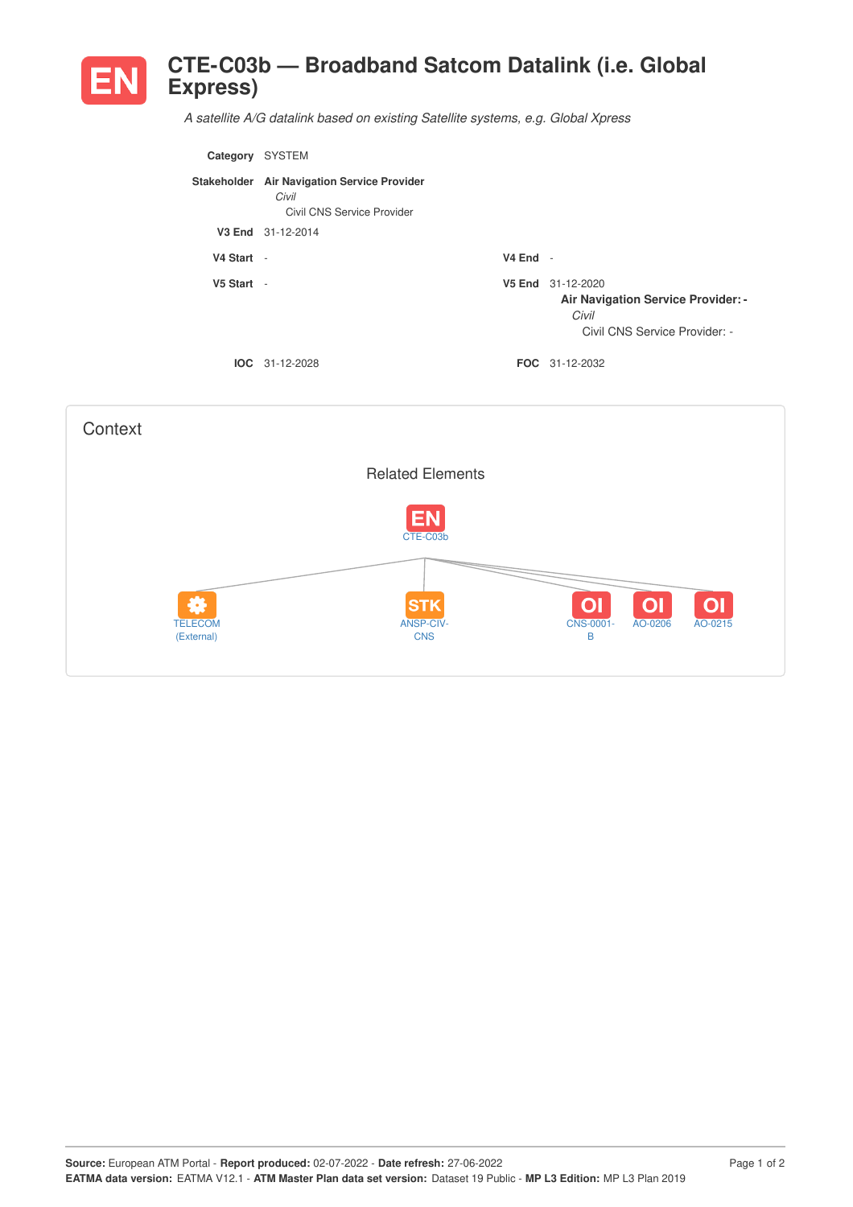

*A satellite A/G datalink based on existing Satellite systems, e.g. Global Xpress*

| Category     | <b>SYSTEM</b>                                                                      |            |                                                                                                   |
|--------------|------------------------------------------------------------------------------------|------------|---------------------------------------------------------------------------------------------------|
|              | Stakeholder Air Navigation Service Provider<br>Civil<br>Civil CNS Service Provider |            |                                                                                                   |
|              | V3 End 31-12-2014                                                                  |            |                                                                                                   |
| V4 Start -   |                                                                                    | $V4$ End - |                                                                                                   |
| $V5$ Start - |                                                                                    |            | V5 End 31-12-2020<br>Air Navigation Service Provider: -<br>Civil<br>Civil CNS Service Provider: - |
|              | $IOC 31-12-2028$                                                                   |            | <b>FOC</b> 31-12-2032                                                                             |